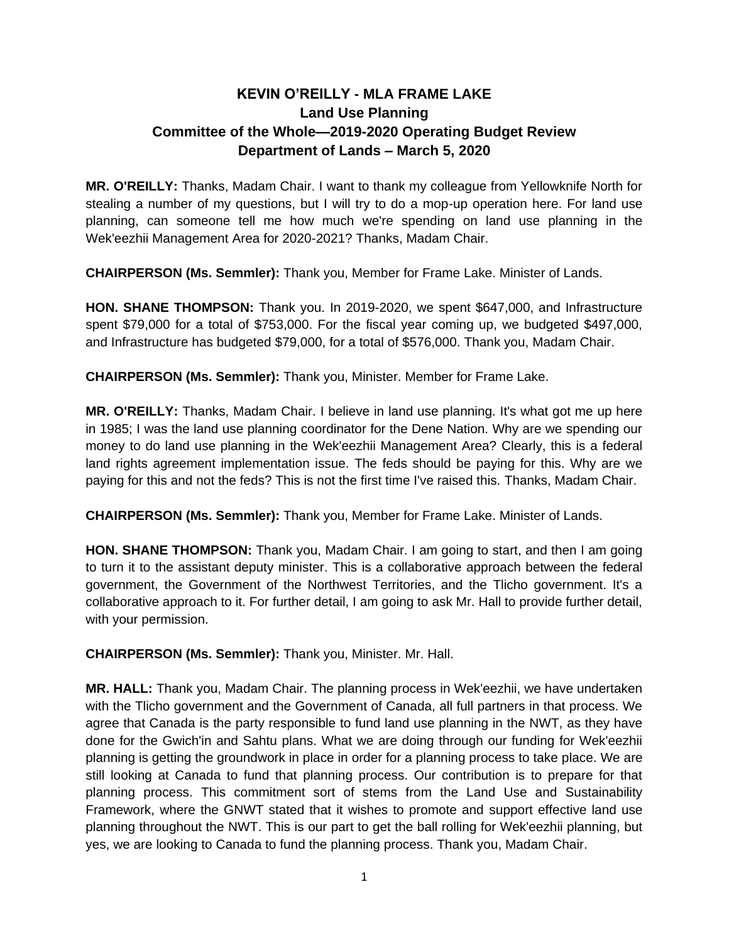## **KEVIN O'REILLY - MLA FRAME LAKE Land Use Planning Committee of the Whole—2019-2020 Operating Budget Review Department of Lands – March 5, 2020**

**MR. O'REILLY:** Thanks, Madam Chair. I want to thank my colleague from Yellowknife North for stealing a number of my questions, but I will try to do a mop-up operation here. For land use planning, can someone tell me how much we're spending on land use planning in the Wek'eezhii Management Area for 2020-2021? Thanks, Madam Chair.

**CHAIRPERSON (Ms. Semmler):** Thank you, Member for Frame Lake. Minister of Lands.

**HON. SHANE THOMPSON:** Thank you. In 2019-2020, we spent \$647,000, and Infrastructure spent \$79,000 for a total of \$753,000. For the fiscal year coming up, we budgeted \$497,000, and Infrastructure has budgeted \$79,000, for a total of \$576,000. Thank you, Madam Chair.

**CHAIRPERSON (Ms. Semmler):** Thank you, Minister. Member for Frame Lake.

**MR. O'REILLY:** Thanks, Madam Chair. I believe in land use planning. It's what got me up here in 1985; I was the land use planning coordinator for the Dene Nation. Why are we spending our money to do land use planning in the Wek'eezhii Management Area? Clearly, this is a federal land rights agreement implementation issue. The feds should be paying for this. Why are we paying for this and not the feds? This is not the first time I've raised this. Thanks, Madam Chair.

**CHAIRPERSON (Ms. Semmler):** Thank you, Member for Frame Lake. Minister of Lands.

**HON. SHANE THOMPSON:** Thank you, Madam Chair. I am going to start, and then I am going to turn it to the assistant deputy minister. This is a collaborative approach between the federal government, the Government of the Northwest Territories, and the Tlicho government. It's a collaborative approach to it. For further detail, I am going to ask Mr. Hall to provide further detail, with your permission.

**CHAIRPERSON (Ms. Semmler):** Thank you, Minister. Mr. Hall.

**MR. HALL:** Thank you, Madam Chair. The planning process in Wek'eezhii, we have undertaken with the Tlicho government and the Government of Canada, all full partners in that process. We agree that Canada is the party responsible to fund land use planning in the NWT, as they have done for the Gwich'in and Sahtu plans. What we are doing through our funding for Wek'eezhii planning is getting the groundwork in place in order for a planning process to take place. We are still looking at Canada to fund that planning process. Our contribution is to prepare for that planning process. This commitment sort of stems from the Land Use and Sustainability Framework, where the GNWT stated that it wishes to promote and support effective land use planning throughout the NWT. This is our part to get the ball rolling for Wek'eezhii planning, but yes, we are looking to Canada to fund the planning process. Thank you, Madam Chair.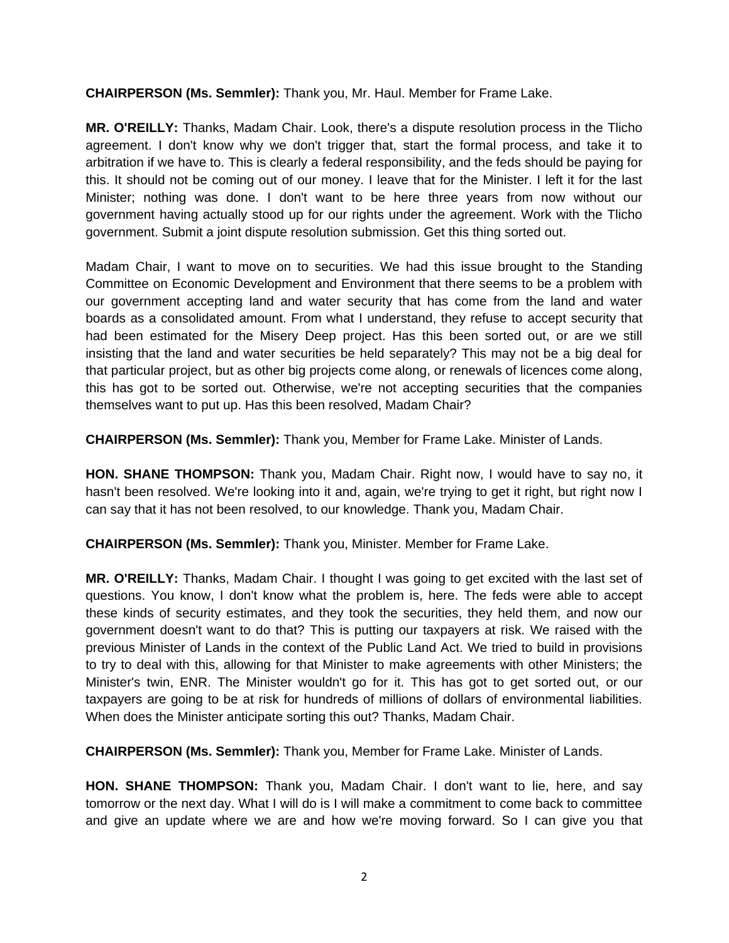**CHAIRPERSON (Ms. Semmler):** Thank you, Mr. Haul. Member for Frame Lake.

**MR. O'REILLY:** Thanks, Madam Chair. Look, there's a dispute resolution process in the Tlicho agreement. I don't know why we don't trigger that, start the formal process, and take it to arbitration if we have to. This is clearly a federal responsibility, and the feds should be paying for this. It should not be coming out of our money. I leave that for the Minister. I left it for the last Minister; nothing was done. I don't want to be here three years from now without our government having actually stood up for our rights under the agreement. Work with the Tlicho government. Submit a joint dispute resolution submission. Get this thing sorted out.

Madam Chair, I want to move on to securities. We had this issue brought to the Standing Committee on Economic Development and Environment that there seems to be a problem with our government accepting land and water security that has come from the land and water boards as a consolidated amount. From what I understand, they refuse to accept security that had been estimated for the Misery Deep project. Has this been sorted out, or are we still insisting that the land and water securities be held separately? This may not be a big deal for that particular project, but as other big projects come along, or renewals of licences come along, this has got to be sorted out. Otherwise, we're not accepting securities that the companies themselves want to put up. Has this been resolved, Madam Chair?

**CHAIRPERSON (Ms. Semmler):** Thank you, Member for Frame Lake. Minister of Lands.

**HON. SHANE THOMPSON:** Thank you, Madam Chair. Right now, I would have to say no, it hasn't been resolved. We're looking into it and, again, we're trying to get it right, but right now I can say that it has not been resolved, to our knowledge. Thank you, Madam Chair.

**CHAIRPERSON (Ms. Semmler):** Thank you, Minister. Member for Frame Lake.

**MR. O'REILLY:** Thanks, Madam Chair. I thought I was going to get excited with the last set of questions. You know, I don't know what the problem is, here. The feds were able to accept these kinds of security estimates, and they took the securities, they held them, and now our government doesn't want to do that? This is putting our taxpayers at risk. We raised with the previous Minister of Lands in the context of the Public Land Act. We tried to build in provisions to try to deal with this, allowing for that Minister to make agreements with other Ministers; the Minister's twin, ENR. The Minister wouldn't go for it. This has got to get sorted out, or our taxpayers are going to be at risk for hundreds of millions of dollars of environmental liabilities. When does the Minister anticipate sorting this out? Thanks, Madam Chair.

**CHAIRPERSON (Ms. Semmler):** Thank you, Member for Frame Lake. Minister of Lands.

**HON. SHANE THOMPSON:** Thank you, Madam Chair. I don't want to lie, here, and say tomorrow or the next day. What I will do is I will make a commitment to come back to committee and give an update where we are and how we're moving forward. So I can give you that